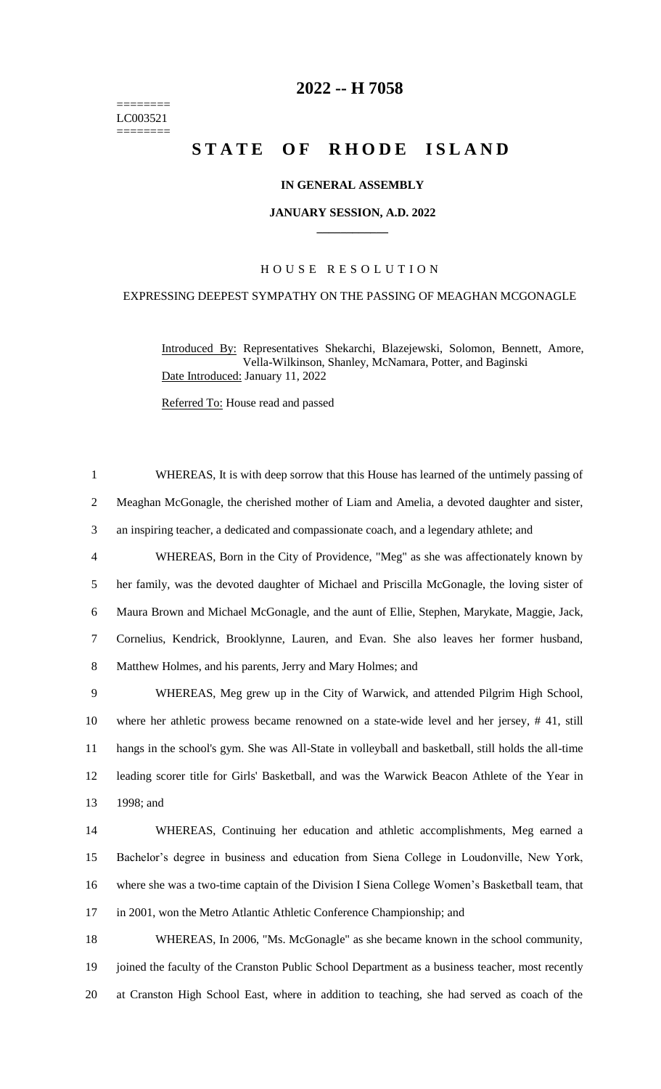======== LC003521 ========

# **-- H 7058**

# **STATE OF RHODE ISLAND**

### **IN GENERAL ASSEMBLY**

#### **JANUARY SESSION, A.D. 2022 \_\_\_\_\_\_\_\_\_\_\_\_**

## H O U S E R E S O L U T I O N

## EXPRESSING DEEPEST SYMPATHY ON THE PASSING OF MEAGHAN MCGONAGLE

Introduced By: Representatives Shekarchi, Blazejewski, Solomon, Bennett, Amore, Vella-Wilkinson, Shanley, McNamara, Potter, and Baginski Date Introduced: January 11, 2022

Referred To: House read and passed

 WHEREAS, It is with deep sorrow that this House has learned of the untimely passing of Meaghan McGonagle, the cherished mother of Liam and Amelia, a devoted daughter and sister, an inspiring teacher, a dedicated and compassionate coach, and a legendary athlete; and WHEREAS, Born in the City of Providence, "Meg" as she was affectionately known by her family, was the devoted daughter of Michael and Priscilla McGonagle, the loving sister of Maura Brown and Michael McGonagle, and the aunt of Ellie, Stephen, Marykate, Maggie, Jack, Cornelius, Kendrick, Brooklynne, Lauren, and Evan. She also leaves her former husband, Matthew Holmes, and his parents, Jerry and Mary Holmes; and WHEREAS, Meg grew up in the City of Warwick, and attended Pilgrim High School, where her athletic prowess became renowned on a state-wide level and her jersey, # 41, still hangs in the school's gym. She was All-State in volleyball and basketball, still holds the all-time leading scorer title for Girls' Basketball, and was the Warwick Beacon Athlete of the Year in 1998; and WHEREAS, Continuing her education and athletic accomplishments, Meg earned a Bachelor's degree in business and education from Siena College in Loudonville, New York, where she was a two-time captain of the Division I Siena College Women's Basketball team, that in 2001, won the Metro Atlantic Athletic Conference Championship; and WHEREAS, In 2006, "Ms. McGonagle" as she became known in the school community, joined the faculty of the Cranston Public School Department as a business teacher, most recently at Cranston High School East, where in addition to teaching, she had served as coach of the